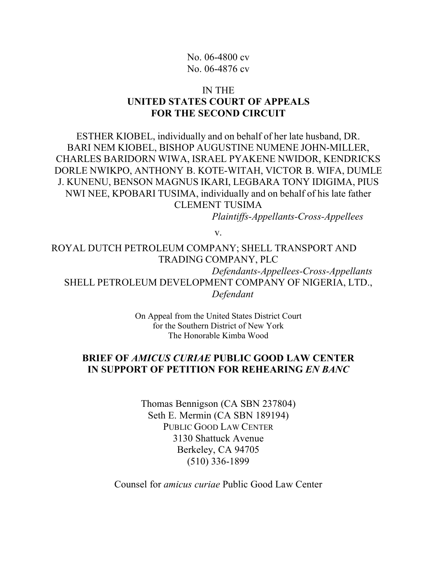## No. 06-4800 cv No. 06-4876 cv

## IN THE **UNITED STATES COURT OF APPEALS FOR THE SECOND CIRCUIT**

ESTHER KIOBEL, individually and on behalf of her late husband, DR. BARI NEM KIOBEL, BISHOP AUGUSTINE NUMENE JOHN-MILLER, CHARLES BARIDORN WIWA, ISRAEL PYAKENE NWIDOR, KENDRICKS DORLE NWIKPO, ANTHONY B. KOTE-WITAH, VICTOR B. WIFA, DUMLE J. KUNENU, BENSON MAGNUS IKARI, LEGBARA TONY IDIGIMA, PIUS NWI NEE, KPOBARI TUSIMA, individually and on behalf of his late father CLEMENT TUSIMA

*Plaintiffs-Appellants-Cross-Appellees*

v.

ROYAL DUTCH PETROLEUM COMPANY; SHELL TRANSPORT AND TRADING COMPANY, PLC

*Defendants-Appellees-Cross-Appellants* SHELL PETROLEUM DEVELOPMENT COMPANY OF NIGERIA, LTD., *Defendant*

> On Appeal from the United States District Court for the Southern District of New York The Honorable Kimba Wood

## **BRIEF OF** *AMICUS CURIAE* **PUBLIC GOOD LAW CENTER IN SUPPORT OF PETITION FOR REHEARING** *EN BANC*

Thomas Bennigson (CA SBN 237804) Seth E. Mermin (CA SBN 189194) PUBLIC GOOD LAW CENTER 3130 Shattuck Avenue Berkeley, CA 94705 (510) 336-1899

Counsel for *amicus curiae* Public Good Law Center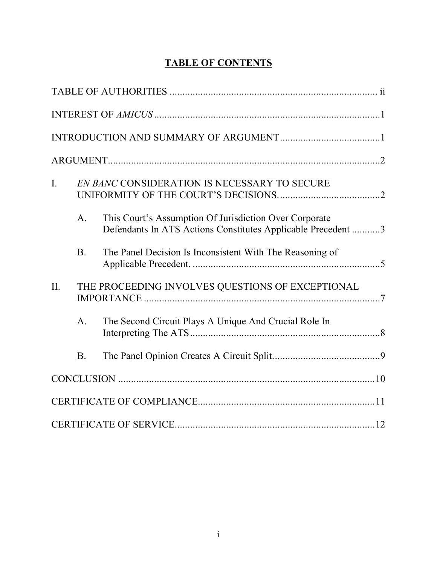# **TABLE OF CONTENTS**

| $\mathbf{I}$ . |                | EN BANC CONSIDERATION IS NECESSARY TO SECURE                                                                           |  |
|----------------|----------------|------------------------------------------------------------------------------------------------------------------------|--|
|                | A.             | This Court's Assumption Of Jurisdiction Over Corporate<br>Defendants In ATS Actions Constitutes Applicable Precedent 3 |  |
|                | B <sub>1</sub> | The Panel Decision Is Inconsistent With The Reasoning of                                                               |  |
| II.            |                | THE PROCEEDING INVOLVES QUESTIONS OF EXCEPTIONAL                                                                       |  |
|                | A.             | The Second Circuit Plays A Unique And Crucial Role In                                                                  |  |
|                | B <sub>1</sub> |                                                                                                                        |  |
|                |                |                                                                                                                        |  |
|                |                |                                                                                                                        |  |
|                |                |                                                                                                                        |  |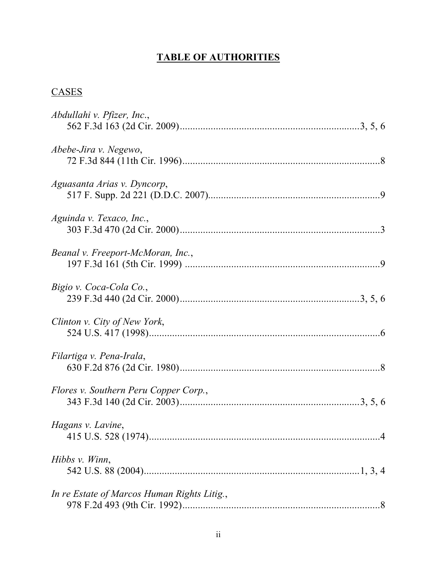# **TABLE OF AUTHORITIES**

## **CASES**

| Abdullahi v. Pfizer, Inc.,                  |
|---------------------------------------------|
| Abebe-Jira v. Negewo,                       |
| Aguasanta Arias v. Dyncorp,                 |
| Aguinda v. Texaco, Inc.,                    |
| Beanal v. Freeport-McMoran, Inc.,           |
| Bigio v. Coca-Cola Co.,                     |
| Clinton v. City of New York,                |
| Filartiga v. Pena-Irala,                    |
| Flores v. Southern Peru Copper Corp.,       |
| Hagans v. Lavine,                           |
| Hibbs $v$ . Winn,                           |
| In re Estate of Marcos Human Rights Litig., |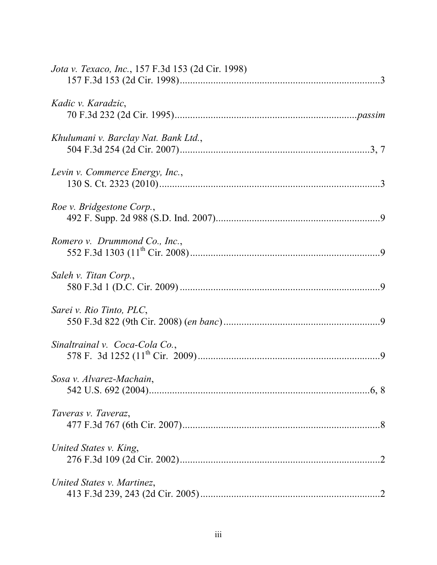| Jota v. Texaco, Inc., 157 F.3d 153 (2d Cir. 1998) |  |
|---------------------------------------------------|--|
| Kadic v. Karadzic,                                |  |
| Khulumani v. Barclay Nat. Bank Ltd.,              |  |
| Levin v. Commerce Energy, Inc.,                   |  |
| Roe v. Bridgestone Corp.,                         |  |
| Romero v. Drummond Co., Inc.,                     |  |
| Saleh v. Titan Corp.,                             |  |
| Sarei v. Rio Tinto, PLC,                          |  |
| Sinaltrainal v. Coca-Cola Co.,                    |  |
| Sosa v. Alvarez-Machain,                          |  |
| Taveras v. Taveraz,                               |  |
| United States v. King,                            |  |
| United States v. Martinez,                        |  |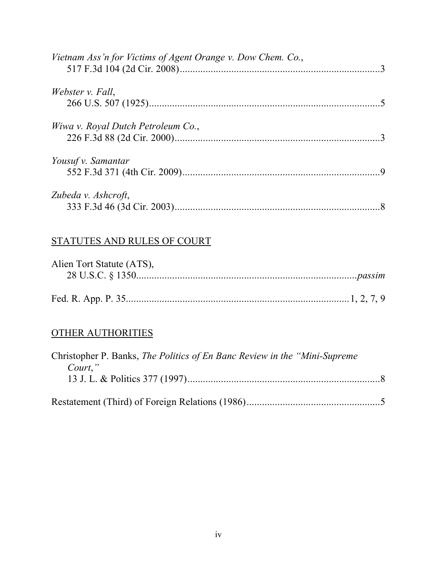| Vietnam Ass'n for Victims of Agent Orange v. Dow Chem. Co., |  |
|-------------------------------------------------------------|--|
| Webster v. Fall,                                            |  |
| Wiwa v. Royal Dutch Petroleum Co.,                          |  |
| Yousuf v. Samantar                                          |  |
| Zubeda v. Ashcroft,                                         |  |

## STATUTES AND RULES OF COURT

| Alien Tort Statute (ATS), |  |
|---------------------------|--|
|                           |  |
|                           |  |
|                           |  |

# OTHER AUTHORITIES

| Christopher P. Banks, <i>The Politics of En Banc Review in the "Mini-Supreme</i> " |  |
|------------------------------------------------------------------------------------|--|
| Court,"                                                                            |  |
|                                                                                    |  |
|                                                                                    |  |
|                                                                                    |  |
|                                                                                    |  |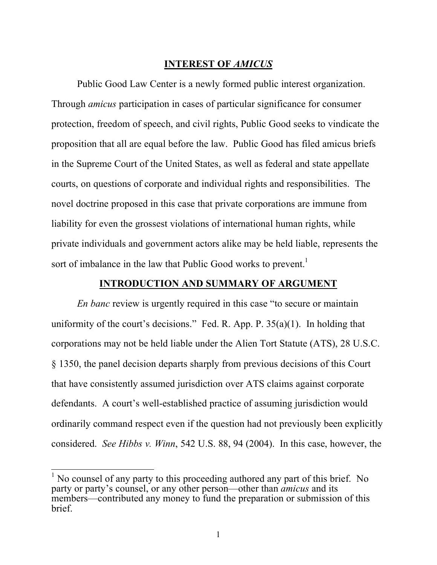## **INTEREST OF** *AMICUS*

Public Good Law Center is a newly formed public interest organization. Through *amicus* participation in cases of particular significance for consumer protection, freedom of speech, and civil rights, Public Good seeks to vindicate the proposition that all are equal before the law. Public Good has filed amicus briefs in the Supreme Court of the United States, as well as federal and state appellate courts, on questions of corporate and individual rights and responsibilities. The novel doctrine proposed in this case that private corporations are immune from liability for even the grossest violations of international human rights, while private individuals and government actors alike may be held liable, represents the sort of imbalance in the law that Public Good works to prevent.<sup>1</sup>

## **INTRODUCTION AND SUMMARY OF ARGUMENT**

*En banc* review is urgently required in this case "to secure or maintain uniformity of the court's decisions." Fed. R. App. P.  $35(a)(1)$ . In holding that corporations may not be held liable under the Alien Tort Statute (ATS), 28 U.S.C. § 1350, the panel decision departs sharply from previous decisions of this Court that have consistently assumed jurisdiction over ATS claims against corporate defendants. A court's well-established practice of assuming jurisdiction would ordinarily command respect even if the question had not previously been explicitly considered. *See Hibbs v. Winn*, 542 U.S. 88, 94 (2004). In this case, however, the

<sup>&</sup>lt;sup>1</sup> No counsel of any party to this proceeding authored any part of this brief. No party or party's counsel, or any other person—other than *amicus* and its members—contributed any money to fund the preparation or submission of this brief.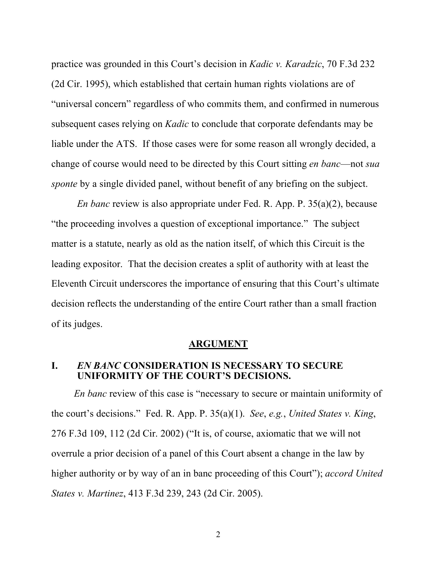practice was grounded in this Court's decision in *Kadic v. Karadzic*, 70 F.3d 232 (2d Cir. 1995), which established that certain human rights violations are of "universal concern" regardless of who commits them, and confirmed in numerous subsequent cases relying on *Kadic* to conclude that corporate defendants may be liable under the ATS. If those cases were for some reason all wrongly decided, a change of course would need to be directed by this Court sitting *en banc*—not *sua sponte* by a single divided panel, without benefit of any briefing on the subject.

*En banc* review is also appropriate under Fed. R. App. P. 35(a)(2), because "the proceeding involves a question of exceptional importance." The subject matter is a statute, nearly as old as the nation itself, of which this Circuit is the leading expositor. That the decision creates a split of authority with at least the Eleventh Circuit underscores the importance of ensuring that this Court's ultimate decision reflects the understanding of the entire Court rather than a small fraction of its judges.

#### **ARGUMENT**

### **I.** *EN BANC* **CONSIDERATION IS NECESSARY TO SECURE UNIFORMITY OF THE COURT'S DECISIONS.**

*En banc* review of this case is "necessary to secure or maintain uniformity of the court's decisions." Fed. R. App. P. 35(a)(1). *See*, *e.g.*, *United States v. King*, 276 F.3d 109, 112 (2d Cir. 2002) ("It is, of course, axiomatic that we will not overrule a prior decision of a panel of this Court absent a change in the law by higher authority or by way of an in banc proceeding of this Court"); *accord United States v. Martinez*, 413 F.3d 239, 243 (2d Cir. 2005).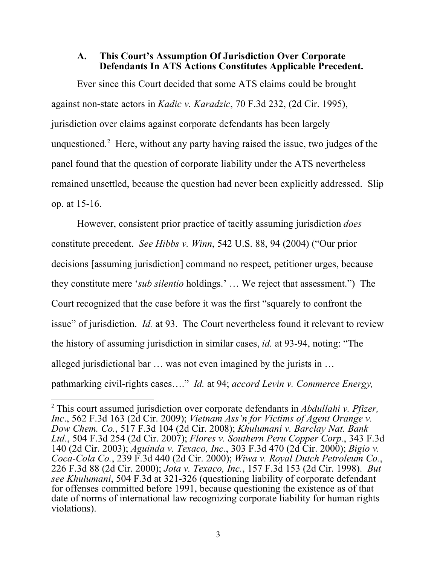### **A. This Court's Assumption Of Jurisdiction Over Corporate Defendants In ATS Actions Constitutes Applicable Precedent.**

Ever since this Court decided that some ATS claims could be brought against non-state actors in *Kadic v. Karadzic*, 70 F.3d 232, (2d Cir. 1995), jurisdiction over claims against corporate defendants has been largely unquestioned.<sup>2</sup> Here, without any party having raised the issue, two judges of the panel found that the question of corporate liability under the ATS nevertheless remained unsettled, because the question had never been explicitly addressed. Slip op. at 15-16.

However, consistent prior practice of tacitly assuming jurisdiction *does* constitute precedent. *See Hibbs v. Winn*, 542 U.S. 88, 94 (2004) ("Our prior decisions [assuming jurisdiction] command no respect, petitioner urges, because they constitute mere '*sub silentio* holdings.' … We reject that assessment.") The Court recognized that the case before it was the first "squarely to confront the issue" of jurisdiction. *Id.* at 93. The Court nevertheless found it relevant to review the history of assuming jurisdiction in similar cases, *id.* at 93-94, noting: "The alleged jurisdictional bar … was not even imagined by the jurists in … pathmarking civil-rights cases…." *Id.* at 94; *accord Levin v. Commerce Energy,* 

 <sup>2</sup> This court assumed jurisdiction over corporate defendants in *Abdullahi v. Pfizer, Inc*., 562 F.3d 163 (2d Cir. 2009); *Vietnam Ass'n for Victims of Agent Orange v. Dow Chem. Co.*, 517 F.3d 104 (2d Cir. 2008); *Khulumani v. Barclay Nat. Bank Ltd.*, 504 F.3d 254 (2d Cir. 2007); *Flores v. Southern Peru Copper Corp.*, 343 F.3d 140 (2d Cir. 2003); *Aguinda v. Texaco, Inc.*, 303 F.3d 470 (2d Cir. 2000); *Bigio v. Coca-Cola Co.*, 239 F.3d 440 (2d Cir. 2000); *Wiwa v. Royal Dutch Petroleum Co.*, 226 F.3d 88 (2d Cir. 2000); *Jota v. Texaco, Inc.*, 157 F.3d 153 (2d Cir. 1998). *But see Khulumani*, 504 F.3d at 321-326 (questioning liability of corporate defendant for offenses committed before 1991, because questioning the existence as of that date of norms of international law recognizing corporate liability for human rights violations).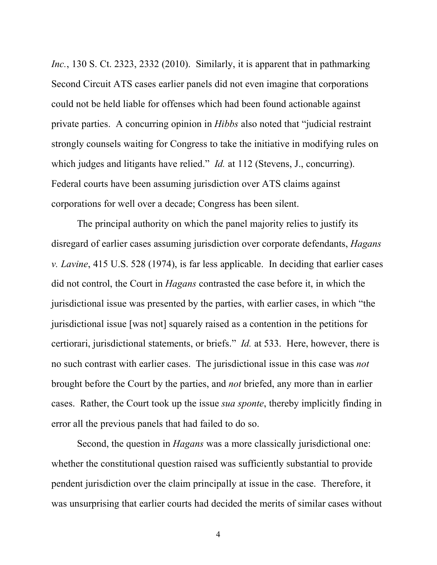*Inc.*, 130 S. Ct. 2323, 2332 (2010). Similarly, it is apparent that in pathmarking Second Circuit ATS cases earlier panels did not even imagine that corporations could not be held liable for offenses which had been found actionable against private parties. A concurring opinion in *Hibbs* also noted that "judicial restraint strongly counsels waiting for Congress to take the initiative in modifying rules on which judges and litigants have relied." *Id.* at 112 (Stevens, J., concurring). Federal courts have been assuming jurisdiction over ATS claims against corporations for well over a decade; Congress has been silent.

The principal authority on which the panel majority relies to justify its disregard of earlier cases assuming jurisdiction over corporate defendants, *Hagans v. Lavine*, 415 U.S. 528 (1974), is far less applicable. In deciding that earlier cases did not control, the Court in *Hagans* contrasted the case before it, in which the jurisdictional issue was presented by the parties, with earlier cases, in which "the jurisdictional issue [was not] squarely raised as a contention in the petitions for certiorari, jurisdictional statements, or briefs." *Id.* at 533. Here, however, there is no such contrast with earlier cases. The jurisdictional issue in this case was *not* brought before the Court by the parties, and *not* briefed, any more than in earlier cases. Rather, the Court took up the issue *sua sponte*, thereby implicitly finding in error all the previous panels that had failed to do so.

Second, the question in *Hagans* was a more classically jurisdictional one: whether the constitutional question raised was sufficiently substantial to provide pendent jurisdiction over the claim principally at issue in the case. Therefore, it was unsurprising that earlier courts had decided the merits of similar cases without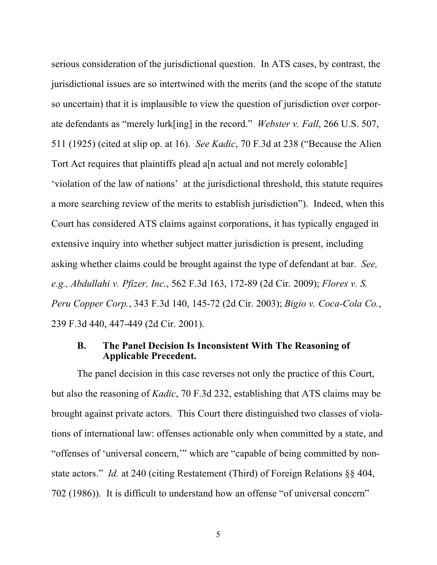serious consideration of the jurisdictional question. In ATS cases, by contrast, the jurisdictional issues are so intertwined with the merits (and the scope of the statute so uncertain) that it is implausible to view the question of jurisdiction over corporate defendants as "merely lurk[ing] in the record." *Webster v. Fall*, 266 U.S. 507, 511 (1925) (cited at slip op. at 16). *See Kadic*, 70 F.3d at 238 ("Because the Alien Tort Act requires that plaintiffs plead a[n actual and not merely colorable] 'violation of the law of nations' at the jurisdictional threshold, this statute requires a more searching review of the merits to establish jurisdiction"). Indeed, when this Court has considered ATS claims against corporations, it has typically engaged in extensive inquiry into whether subject matter jurisdiction is present, including asking whether claims could be brought against the type of defendant at bar. *See, e.g., Abdullahi v. Pfizer, Inc.*, 562 F.3d 163, 172-89 (2d Cir. 2009); *Flores v. S. Peru Copper Corp.*, 343 F.3d 140, 145-72 (2d Cir. 2003); *Bigio v. Coca-Cola Co.*, 239 F.3d 440, 447-449 (2d Cir. 2001).

#### **B. The Panel Decision Is Inconsistent With The Reasoning of Applicable Precedent.**

The panel decision in this case reverses not only the practice of this Court, but also the reasoning of *Kadic*, 70 F.3d 232, establishing that ATS claims may be brought against private actors. This Court there distinguished two classes of violations of international law: offenses actionable only when committed by a state, and "offenses of 'universal concern,'" which are "capable of being committed by nonstate actors." *Id.* at 240 (citing Restatement (Third) of Foreign Relations §§ 404, 702 (1986)). It is difficult to understand how an offense "of universal concern"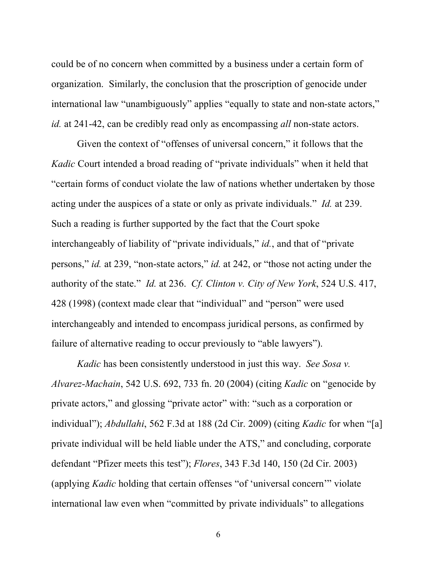could be of no concern when committed by a business under a certain form of organization. Similarly, the conclusion that the proscription of genocide under international law "unambiguously" applies "equally to state and non-state actors," *id.* at 241-42, can be credibly read only as encompassing *all* non-state actors.

Given the context of "offenses of universal concern," it follows that the *Kadic* Court intended a broad reading of "private individuals" when it held that "certain forms of conduct violate the law of nations whether undertaken by those acting under the auspices of a state or only as private individuals." *Id.* at 239. Such a reading is further supported by the fact that the Court spoke interchangeably of liability of "private individuals," *id.*, and that of "private persons," *id.* at 239, "non-state actors," *id.* at 242, or "those not acting under the authority of the state." *Id.* at 236. *Cf. Clinton v. City of New York*, 524 U.S. 417, 428 (1998) (context made clear that "individual" and "person" were used interchangeably and intended to encompass juridical persons, as confirmed by failure of alternative reading to occur previously to "able lawyers").

*Kadic* has been consistently understood in just this way. *See Sosa v. Alvarez-Machain*, 542 U.S. 692, 733 fn. 20 (2004) (citing *Kadic* on "genocide by private actors," and glossing "private actor" with: "such as a corporation or individual"); *Abdullahi*, 562 F.3d at 188 (2d Cir. 2009) (citing *Kadic* for when "[a] private individual will be held liable under the ATS," and concluding, corporate defendant "Pfizer meets this test"); *Flores*, 343 F.3d 140, 150 (2d Cir. 2003) (applying *Kadic* holding that certain offenses "of 'universal concern'" violate international law even when "committed by private individuals" to allegations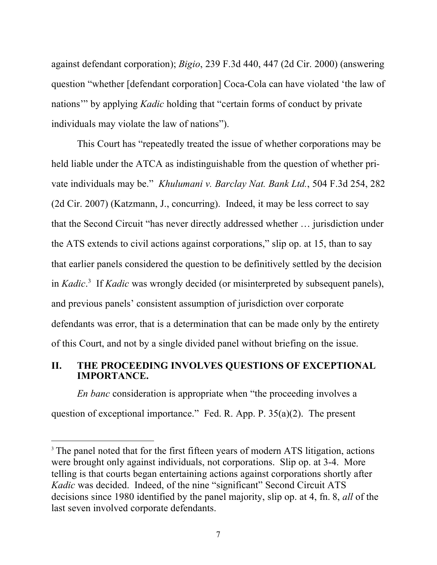against defendant corporation); *Bigio*, 239 F.3d 440, 447 (2d Cir. 2000) (answering question "whether [defendant corporation] Coca-Cola can have violated 'the law of nations'" by applying *Kadic* holding that "certain forms of conduct by private individuals may violate the law of nations").

This Court has "repeatedly treated the issue of whether corporations may be held liable under the ATCA as indistinguishable from the question of whether private individuals may be." *Khulumani v. Barclay Nat. Bank Ltd.*, 504 F.3d 254, 282 (2d Cir. 2007) (Katzmann, J., concurring). Indeed, it may be less correct to say that the Second Circuit "has never directly addressed whether … jurisdiction under the ATS extends to civil actions against corporations," slip op. at 15, than to say that earlier panels considered the question to be definitively settled by the decision in *Kadic*. 3 If *Kadic* was wrongly decided (or misinterpreted by subsequent panels), and previous panels' consistent assumption of jurisdiction over corporate defendants was error, that is a determination that can be made only by the entirety of this Court, and not by a single divided panel without briefing on the issue.

## **II. THE PROCEEDING INVOLVES QUESTIONS OF EXCEPTIONAL IMPORTANCE.**

*En banc* consideration is appropriate when "the proceeding involves a question of exceptional importance." Fed. R. App. P. 35(a)(2). The present

<sup>&</sup>lt;sup>3</sup> The panel noted that for the first fifteen years of modern ATS litigation, actions were brought only against individuals, not corporations. Slip op. at 3-4. More telling is that courts began entertaining actions against corporations shortly after *Kadic* was decided. Indeed, of the nine "significant" Second Circuit ATS decisions since 1980 identified by the panel majority, slip op. at 4, fn. 8, *all* of the last seven involved corporate defendants.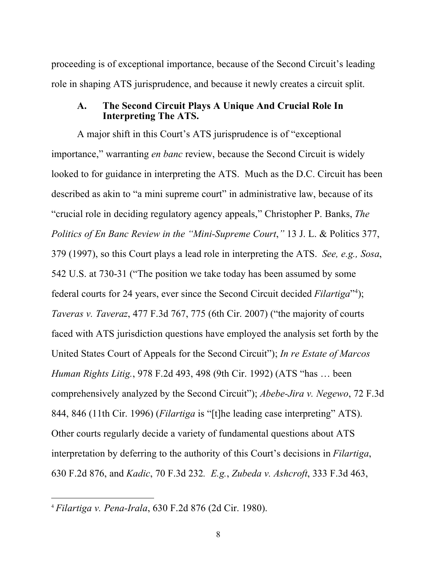proceeding is of exceptional importance, because of the Second Circuit's leading role in shaping ATS jurisprudence, and because it newly creates a circuit split.

### **A. The Second Circuit Plays A Unique And Crucial Role In Interpreting The ATS.**

A major shift in this Court's ATS jurisprudence is of "exceptional importance," warranting *en banc* review, because the Second Circuit is widely looked to for guidance in interpreting the ATS. Much as the D.C. Circuit has been described as akin to "a mini supreme court" in administrative law, because of its "crucial role in deciding regulatory agency appeals," Christopher P. Banks, *The Politics of En Banc Review in the "Mini-Supreme Court*,*"* 13 J. L. & Politics 377, 379 (1997), so this Court plays a lead role in interpreting the ATS. *See, e.g., Sosa*, 542 U.S. at 730-31 ("The position we take today has been assumed by some federal courts for 24 years, ever since the Second Circuit decided *Filartiga*"<sup>4</sup> ); *Taveras v. Taveraz*, 477 F.3d 767, 775 (6th Cir. 2007) ("the majority of courts faced with ATS jurisdiction questions have employed the analysis set forth by the United States Court of Appeals for the Second Circuit"); *In re Estate of Marcos Human Rights Litig.*, 978 F.2d 493, 498 (9th Cir. 1992) (ATS "has … been comprehensively analyzed by the Second Circuit"); *Abebe-Jira v. Negewo*, 72 F.3d 844, 846 (11th Cir. 1996) (*Filartiga* is "[t]he leading case interpreting" ATS). Other courts regularly decide a variety of fundamental questions about ATS interpretation by deferring to the authority of this Court's decisions in *Filartiga*, 630 F.2d 876, and *Kadic*, 70 F.3d 232*. E.g.*, *Zubeda v. Ashcroft*, 333 F.3d 463,

 <sup>4</sup> *Filartiga v. Pena-Irala*, 630 F.2d 876 (2d Cir. 1980).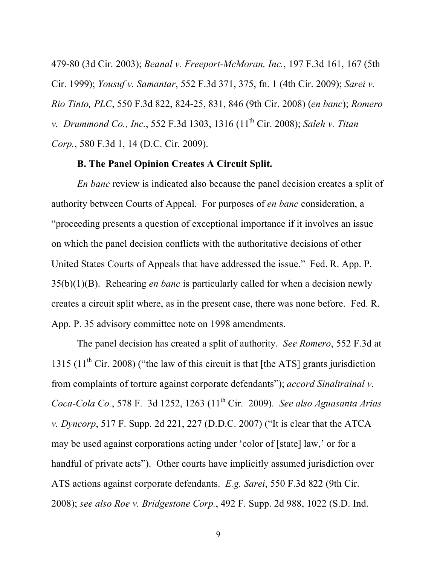479-80 (3d Cir. 2003); *Beanal v. Freeport-McMoran, Inc.*, 197 F.3d 161, 167 (5th Cir. 1999); *Yousuf v. Samantar*, 552 F.3d 371, 375, fn. 1 (4th Cir. 2009); *Sarei v. Rio Tinto, PLC*, 550 F.3d 822, 824-25, 831, 846 (9th Cir. 2008) (*en banc*); *Romero v. Drummond Co., Inc.*, 552 F.3d 1303, 1316 (11<sup>th</sup> Cir. 2008); *Saleh v. Titan Corp.*, 580 F.3d 1, 14 (D.C. Cir. 2009).

## **B. The Panel Opinion Creates A Circuit Split.**

*En banc* review is indicated also because the panel decision creates a split of authority between Courts of Appeal. For purposes of *en banc* consideration, a "proceeding presents a question of exceptional importance if it involves an issue on which the panel decision conflicts with the authoritative decisions of other United States Courts of Appeals that have addressed the issue." Fed. R. App. P. 35(b)(1)(B). Rehearing *en banc* is particularly called for when a decision newly creates a circuit split where, as in the present case, there was none before. Fed. R. App. P. 35 advisory committee note on 1998 amendments.

The panel decision has created a split of authority. *See Romero*, 552 F.3d at 1315 (11<sup>th</sup> Cir. 2008) ("the law of this circuit is that [the ATS] grants jurisdiction from complaints of torture against corporate defendants"); *accord Sinaltrainal v. Coca-Cola Co.*, 578 F. 3d 1252, 1263 (11th Cir. 2009). *See also Aguasanta Arias v. Dyncorp*, 517 F. Supp. 2d 221, 227 (D.D.C. 2007) ("It is clear that the ATCA may be used against corporations acting under 'color of [state] law,' or for a handful of private acts"). Other courts have implicitly assumed jurisdiction over ATS actions against corporate defendants. *E.g. Sarei*, 550 F.3d 822 (9th Cir. 2008); *see also Roe v. Bridgestone Corp.*, 492 F. Supp. 2d 988, 1022 (S.D. Ind.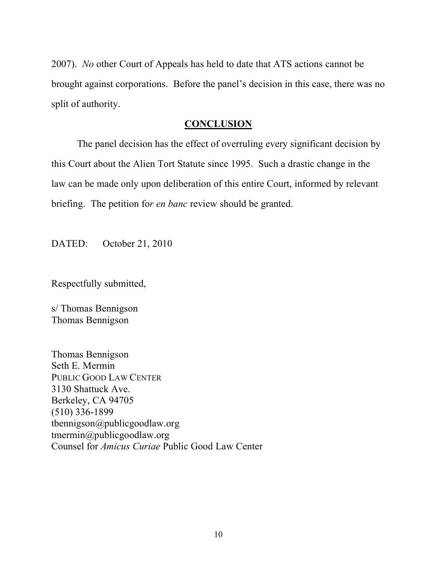2007). *No* other Court of Appeals has held to date that ATS actions cannot be brought against corporations. Before the panel's decision in this case, there was no split of authority.

## **CONCLUSION**

The panel decision has the effect of overruling every significant decision by this Court about the Alien Tort Statute since 1995. Such a drastic change in the law can be made only upon deliberation of this entire Court, informed by relevant briefing. The petition fo*r en banc* review should be granted.

DATED: October 21, 2010

Respectfully submitted,

s/ Thomas Bennigson Thomas Bennigson

Thomas Bennigson Seth E. Mermin PUBLIC GOOD LAW CENTER 3130 Shattuck Ave. Berkeley, CA 94705 (510) 336-1899 tbennigson@publicgoodlaw.org tmermin@publicgoodlaw.org Counsel for *Amicus Curiae* Public Good Law Center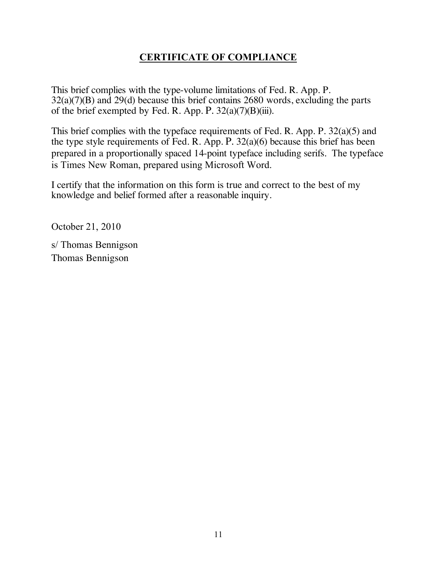## **CERTIFICATE OF COMPLIANCE**

This brief complies with the type-volume limitations of Fed. R. App. P. 32(a)(7)(B) and 29(d) because this brief contains 2680 words, excluding the parts of the brief exempted by Fed. R. App. P.  $32(a)(7)(B)(iii)$ .

This brief complies with the typeface requirements of Fed. R. App. P. 32(a)(5) and the type style requirements of Fed. R. App. P. 32(a)(6) because this brief has been prepared in a proportionally spaced 14-point typeface including serifs. The typeface is Times New Roman, prepared using Microsoft Word.

I certify that the information on this form is true and correct to the best of my knowledge and belief formed after a reasonable inquiry.

October 21, 2010

s/ Thomas Bennigson Thomas Bennigson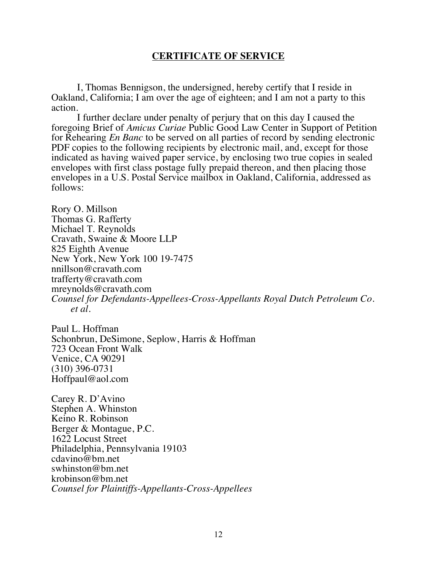### **CERTIFICATE OF SERVICE**

I, Thomas Bennigson, the undersigned, hereby certify that I reside in Oakland, California; I am over the age of eighteen; and I am not a party to this action.

I further declare under penalty of perjury that on this day I caused the foregoing Brief of *Amicus Curiae* Public Good Law Center in Support of Petition for Rehearing *En Banc* to be served on all parties of record by sending electronic PDF copies to the following recipients by electronic mail, and, except for those indicated as having waived paper service, by enclosing two true copies in sealed envelopes with first class postage fully prepaid thereon, and then placing those envelopes in a U.S. Postal Service mailbox in Oakland, California, addressed as follows:

Rory O. Millson Thomas G. Rafferty Michael T. Reynolds Cravath, Swaine & Moore LLP 825 Eighth Avenue New York, New York 100 19-7475 nnillson@cravath.com trafferty@cravath.com mreynolds@cravath.com *Counsel for Defendants-Appellees-Cross-Appellants Royal Dutch Petroleum Co. et al.*

Paul L. Hoffman Schonbrun, DeSimone, Seplow, Harris & Hoffman 723 Ocean Front Walk Venice, CA 90291 (310) 396-0731 Hoffpaul@aol.com

Carey R. D'Avino Stephen A. Whinston Keino R. Robinson Berger & Montague, P.C. 1622 Locust Street Philadelphia, Pennsylvania 19103 cdavino@bm.net swhinston@bm.net krobinson@bm.net *Counsel for Plaintiffs-Appellants-Cross-Appellees*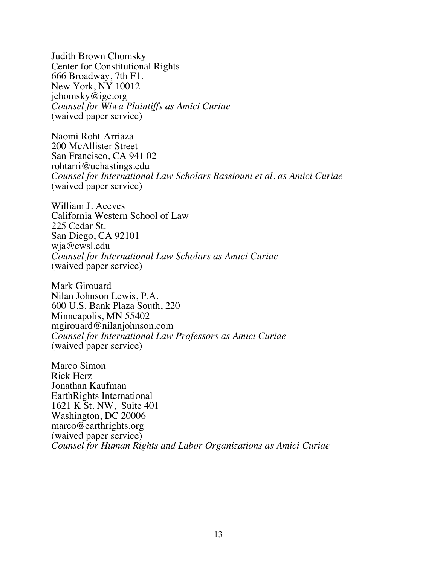Judith Brown Chomsky Center for Constitutional Rights 666 Broadway, 7th F1. New York, NY 10012 jchomsky@igc.org *Counsel for Wiwa Plaintiffs as Amici Curiae*  (waived paper service)

Naomi Roht-Arriaza 200 McAllister Street San Francisco, CA 941 02 rohtarri@uchastings.edu *Counsel for International Law Scholars Bassiouni et al. as Amici Curiae*  (waived paper service)

William J. Aceves California Western School of Law 225 Cedar St. San Diego, CA 92101 wja@cwsl.edu *Counsel for International Law Scholars as Amici Curiae*  (waived paper service)

Mark Girouard Nilan Johnson Lewis, P.A. 600 U.S. Bank Plaza South, 220 Minneapolis, MN 55402 mgirouard@nilanjohnson.com *Counsel for International Law Professors as Amici Curiae*  (waived paper service)

Marco Simon Rick Herz Jonathan Kaufman EarthRights International 1621 K St. NW, Suite 401 Washington, DC 20006 marco@earthrights.org (waived paper service) *Counsel for Human Rights and Labor Organizations as Amici Curiae*